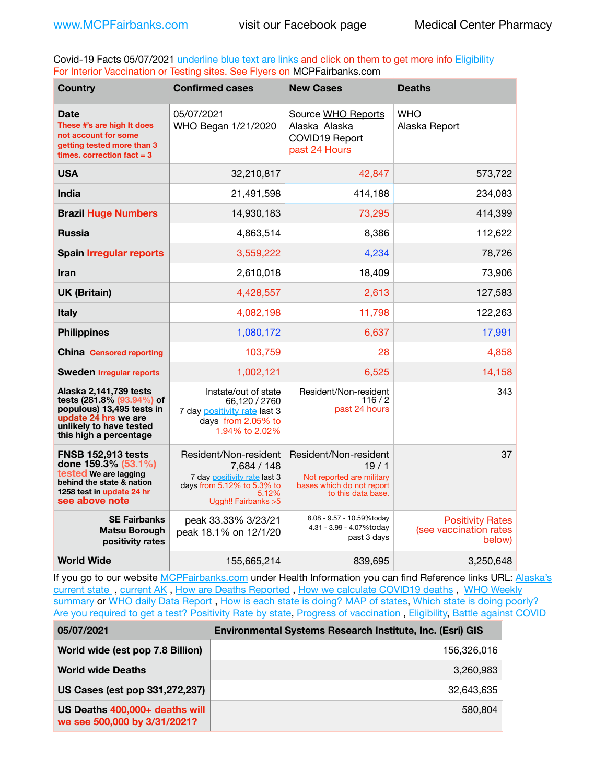Covid-19 Facts 05/07/2021 underline blue text are links and click on them to get more info **Eligibility** For Interior Vaccination or Testing sites. See Flyers on [MCPFairbanks.com](http://www.MCPFairbanks.com)

| <b>Country</b>                                                                                                                                                | <b>Confirmed cases</b>                                                                                                              | <b>New Cases</b>                                                                                              | <b>Deaths</b>                                               |
|---------------------------------------------------------------------------------------------------------------------------------------------------------------|-------------------------------------------------------------------------------------------------------------------------------------|---------------------------------------------------------------------------------------------------------------|-------------------------------------------------------------|
| <b>Date</b><br>These #'s are high It does<br>not account for some<br>getting tested more than 3<br>times. correction $fact = 3$                               | 05/07/2021<br>WHO Began 1/21/2020                                                                                                   | Source WHO Reports<br>Alaska Alaska<br>COVID19 Report<br>past 24 Hours                                        | <b>WHO</b><br>Alaska Report                                 |
| <b>USA</b>                                                                                                                                                    | 32,210,817                                                                                                                          | 42,847                                                                                                        | 573,722                                                     |
| India                                                                                                                                                         | 21,491,598                                                                                                                          | 414,188                                                                                                       | 234,083                                                     |
| <b>Brazil Huge Numbers</b>                                                                                                                                    | 14,930,183                                                                                                                          | 73,295                                                                                                        | 414,399                                                     |
| <b>Russia</b>                                                                                                                                                 | 4,863,514                                                                                                                           | 8,386                                                                                                         | 112,622                                                     |
| <b>Spain Irregular reports</b>                                                                                                                                | 3,559,222                                                                                                                           | 4,234                                                                                                         | 78,726                                                      |
| <b>Iran</b>                                                                                                                                                   | 2,610,018                                                                                                                           | 18,409                                                                                                        | 73,906                                                      |
| <b>UK (Britain)</b>                                                                                                                                           | 4,428,557                                                                                                                           | 2,613                                                                                                         | 127,583                                                     |
| <b>Italy</b>                                                                                                                                                  | 4,082,198                                                                                                                           | 11,798                                                                                                        | 122,263                                                     |
| <b>Philippines</b>                                                                                                                                            | 1,080,172                                                                                                                           | 6,637                                                                                                         | 17,991                                                      |
| <b>China Censored reporting</b>                                                                                                                               | 103,759                                                                                                                             | 28                                                                                                            | 4,858                                                       |
| <b>Sweden Irregular reports</b>                                                                                                                               | 1,002,121                                                                                                                           | 6,525                                                                                                         | 14,158                                                      |
| Alaska 2,141,739 tests<br>tests (281.8% (93.94%) of<br>populous) 13,495 tests in<br>update 24 hrs we are<br>unlikely to have tested<br>this high a percentage | Instate/out of state<br>66,120 / 2760<br>7 day positivity rate last 3<br>days from 2.05% to<br>1.94% to 2.02%                       | Resident/Non-resident<br>116/2<br>past 24 hours                                                               | 343                                                         |
| <b>FNSB 152,913 tests</b><br>done 159.3% (53.1%)<br>tested We are lagging<br>behind the state & nation<br>1258 test in update 24 hr<br>see above note         | Resident/Non-resident<br>7,684 / 148<br>7 day positivity rate last 3<br>days from 5.12% to 5.3% to<br>5.12%<br>Uggh!! Fairbanks > 5 | Resident/Non-resident<br>19/1<br>Not reported are military<br>bases which do not report<br>to this data base. | 37                                                          |
| <b>SE Fairbanks</b><br><b>Matsu Borough</b><br>positivity rates                                                                                               | peak 33.33% 3/23/21<br>peak 18.1% on 12/1/20                                                                                        | 8.08 - 9.57 - 10.59%today<br>4.31 - 3.99 - 4.07%today<br>past 3 days                                          | <b>Positivity Rates</b><br>(see vaccination rates<br>below) |
| <b>World Wide</b>                                                                                                                                             | 155,665,214                                                                                                                         | 839,695                                                                                                       | 3,250,648                                                   |

If you go to our website [MCPFairbanks.com](http://www.MCPFairbanks.com) under Health Information you can find Reference links URL: Alaska's [current state](https://coronavirus-response-alaska-dhss.hub.arcgis.com) , [current AK](http://dhss.alaska.gov/dph/Epi/id/Pages/COVID-19/communications.aspx#cases) , [How are Deaths Reported](http://dhss.alaska.gov/dph/Epi/id/Pages/COVID-19/deathcounts.aspx) , [How we calculate COVID19 deaths](https://coronavirus-response-alaska-dhss.hub.arcgis.com/search?collection=Document&groupIds=41ccb3344ebc4bd682c74073eba21f42) , [WHO Weekly](http://www.who.int)  [summary](http://www.who.int) or [WHO daily Data Report](https://covid19.who.int/table), [How is each state is doing?](https://www.msn.com/en-us/news/us/state-by-state-coronavirus-news/ar-BB13E1PX?fbclid=IwAR0_OBJH7lSyTN3ug_MsOeFnNgB1orTa9OBgilKJ7dhnwlVvHEsptuKkj1c) [MAP of states,](https://www.nationalgeographic.com/science/graphics/graphic-tracking-coronavirus-infections-us?cmpid=org=ngp::mc=crm-email::src=ngp::cmp=editorial::add=SpecialEdition_20210305&rid=B9A6DF5992658E8E35CE023113CFEA4C) [Which state is doing poorly?](https://bestlifeonline.com/covid-outbreak-your-state/?utm_source=nsltr&utm_medium=email&utm_content=covid-outbreak-your-state&utm_campaign=launch) [Are you required to get a test?](http://dhss.alaska.gov/dph/Epi/id/SiteAssets/Pages/HumanCoV/Whattodoafteryourtest.pdf) [Positivity Rate by state](https://coronavirus.jhu.edu/testing/individual-states/alaska), Progress of vaccination, [Eligibility,](http://dhss.alaska.gov/dph/Epi/id/Pages/COVID-19/VaccineAvailability.aspx) [Battle against COVID](https://www.nationalgeographic.com/science/graphics/graphic-tracking-coronavirus-infections-us?cmpid=org=ngp::mc=crm-email::src=ngp::cmp=editorial::add=SpecialEdition_20210219&rid=B9A6DF5992658E8E35CE023113CFEA4C)

| 05/07/2021                                                     | Environmental Systems Research Institute, Inc. (Esri) GIS |  |
|----------------------------------------------------------------|-----------------------------------------------------------|--|
| World wide (est pop 7.8 Billion)                               | 156,326,016                                               |  |
| <b>World wide Deaths</b>                                       | 3,260,983                                                 |  |
| US Cases (est pop 331,272,237)                                 | 32.643.635                                                |  |
| US Deaths 400,000+ deaths will<br>we see 500,000 by 3/31/2021? | 580.804                                                   |  |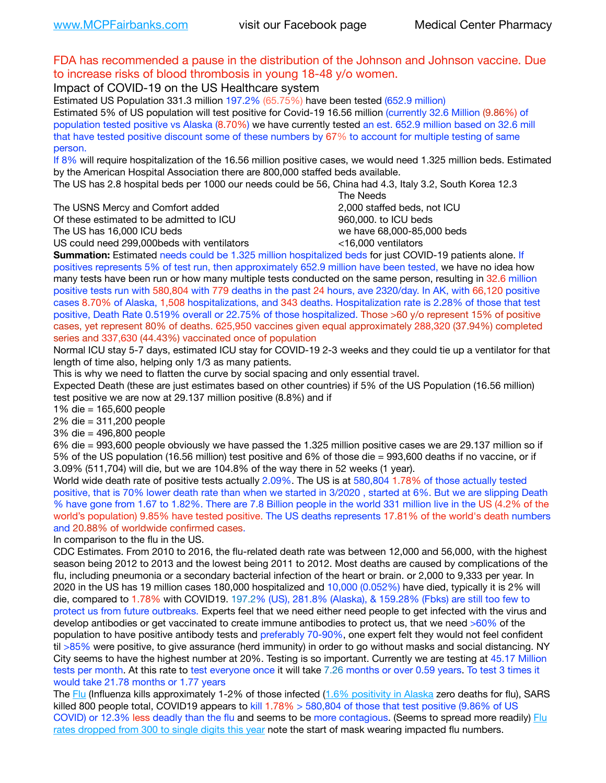## FDA has recommended a pause in the distribution of the Johnson and Johnson vaccine. Due to increase risks of blood thrombosis in young 18-48 y/o women.

Impact of COVID-19 on the US Healthcare system

Estimated US Population 331.3 million 197.2% (65.75%) have been tested (652.9 million) Estimated 5% of US population will test positive for Covid-19 16.56 million (currently 32.6 Million (9.86%) of population tested positive vs Alaska (8.70%) we have currently tested an est. 652.9 million based on 32.6 mill that have tested positive discount some of these numbers by 67% to account for multiple testing of same person.

If 8% will require hospitalization of the 16.56 million positive cases, we would need 1.325 million beds. Estimated by the American Hospital Association there are 800,000 staffed beds available.

The US has 2.8 hospital beds per 1000 our needs could be 56, China had 4.3, Italy 3.2, South Korea 12.3

The USNS Mercy and Comfort added 2,000 staffed beds, not ICU

Of these estimated to be admitted to ICU **860,000**, to ICU beds

 The Needs The US has 16,000 ICU beds we have 68,000-85,000 beds US could need 299,000 beds with ventilators  $\leq$ 16,000 ventilators

**Summation:** Estimated needs could be 1.325 million hospitalized beds for just COVID-19 patients alone. If positives represents 5% of test run, then approximately 652.9 million have been tested, we have no idea how many tests have been run or how many multiple tests conducted on the same person, resulting in 32.6 million positive tests run with 580,804 with 779 deaths in the past 24 hours, ave 2320/day. In AK, with 66,120 positive cases 8.70% of Alaska, 1,508 hospitalizations, and 343 deaths. Hospitalization rate is 2.28% of those that test positive, Death Rate 0.519% overall or 22.75% of those hospitalized. Those >60 y/o represent 15% of positive cases, yet represent 80% of deaths. 625,950 vaccines given equal approximately 288,320 (37.94%) completed

series and 337,630 (44.43%) vaccinated once of population Normal ICU stay 5-7 days, estimated ICU stay for COVID-19 2-3 weeks and they could tie up a ventilator for that

length of time also, helping only 1/3 as many patients.

This is why we need to flatten the curve by social spacing and only essential travel.

Expected Death (these are just estimates based on other countries) if 5% of the US Population (16.56 million) test positive we are now at 29.137 million positive (8.8%) and if

1% die = 165,600 people

2% die = 311,200 people

3% die = 496,800 people

6% die = 993,600 people obviously we have passed the 1.325 million positive cases we are 29.137 million so if 5% of the US population (16.56 million) test positive and 6% of those die = 993,600 deaths if no vaccine, or if 3.09% (511,704) will die, but we are 104.8% of the way there in 52 weeks (1 year).

World wide death rate of positive tests actually 2.09%. The US is at 580,804 1.78% of those actually tested positive, that is 70% lower death rate than when we started in 3/2020 , started at 6%. But we are slipping Death % have gone from 1.67 to 1.82%. There are 7.8 Billion people in the world 331 million live in the US (4.2% of the world's population) 9.85% have tested positive. The US deaths represents 17.81% of the world's death numbers and 20.88% of worldwide confirmed cases.

In comparison to the flu in the US.

CDC Estimates. From 2010 to 2016, the flu-related death rate was between 12,000 and 56,000, with the highest season being 2012 to 2013 and the lowest being 2011 to 2012. Most deaths are caused by complications of the flu, including pneumonia or a secondary bacterial infection of the heart or brain. or 2,000 to 9,333 per year. In 2020 in the US has 19 million cases 180,000 hospitalized and 10,000 (0.052%) have died, typically it is 2% will die, compared to 1.78% with COVID19. 197.2% (US), 281.8% (Alaska), & 159.28% (Fbks) are still too few to protect us from future outbreaks. Experts feel that we need either need people to get infected with the virus and develop antibodies or get vaccinated to create immune antibodies to protect us, that we need >60% of the population to have positive antibody tests and preferably 70-90%, one expert felt they would not feel confident til >85% were positive, to give assurance (herd immunity) in order to go without masks and social distancing. NY City seems to have the highest number at 20%. Testing is so important. Currently we are testing at 45.17 Million tests per month. At this rate to test everyone once it will take 7.26 months or over 0.59 years. To test 3 times it would take 21.78 months or 1.77 years

The [Flu](https://lnks.gd/l/eyJhbGciOiJIUzI1NiJ9.eyJidWxsZXRpbl9saW5rX2lkIjoxMDMsInVyaSI6ImJwMjpjbGljayIsImJ1bGxldGluX2lkIjoiMjAyMTAyMjYuMzYwNDA3NTEiLCJ1cmwiOiJodHRwczovL3d3dy5jZGMuZ292L2ZsdS93ZWVrbHkvb3ZlcnZpZXcuaHRtIn0.ePMA_hsZ-pTnhWSyg1gHvHWYTu2XceVOt0JejxvP1WE/s/500544915/br/98428119752-l) (Influenza kills approximately 1-2% of those infected ([1.6% positivity in Alaska](http://dhss.alaska.gov/dph/Epi/id/SiteAssets/Pages/influenza/trends/Snapshot.pdf) zero deaths for flu), SARS killed 800 people total, COVID19 appears to kill 1.78% > 580,804 of those that test positive (9.86% of US COVID) or 12.3% less deadly than the flu and seems to be more contagious. (Seems to spread more readily) Flu [rates dropped from 300 to single digits this year](https://lnks.gd/l/eyJhbGciOiJIUzI1NiJ9.eyJidWxsZXRpbl9saW5rX2lkIjoxMDEsInVyaSI6ImJwMjpjbGljayIsImJ1bGxldGluX2lkIjoiMjAyMTAyMjYuMzYwNDA3NTEiLCJ1cmwiOiJodHRwOi8vZGhzcy5hbGFza2EuZ292L2RwaC9FcGkvaWQvUGFnZXMvaW5mbHVlbnphL2ZsdWluZm8uYXNweCJ9.oOe3nt2fww6XpsNhb4FZfmtPfPa-irGaldpkURBJhSo/s/500544915/br/98428119752-l) note the start of mask wearing impacted flu numbers.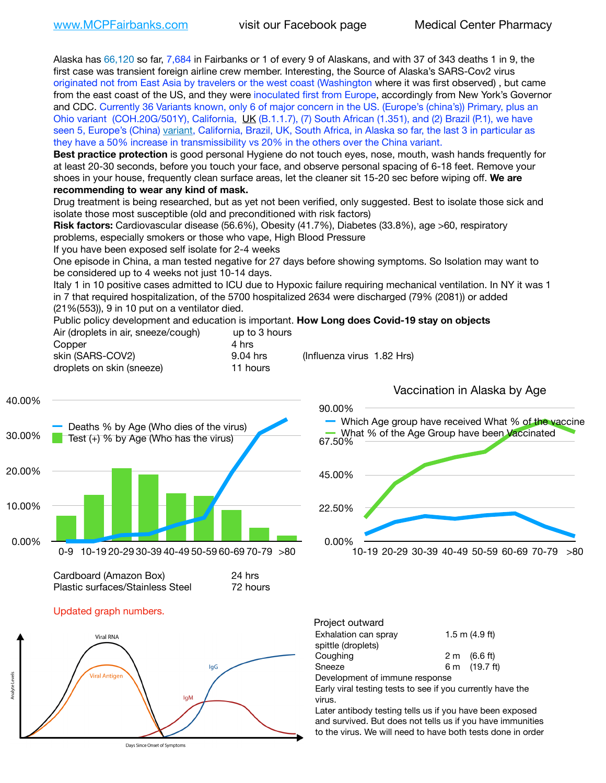Alaska has 66,120 so far, 7,684 in Fairbanks or 1 of every 9 of Alaskans, and with 37 of 343 deaths 1 in 9, the first case was transient foreign airline crew member. Interesting, the Source of Alaska's SARS-Cov2 virus originated not from East Asia by travelers or the west coast (Washington where it was first observed) , but came from the east coast of the US, and they were inoculated first from Europe, accordingly from New York's Governor and CDC. Currently 36 Variants known, only 6 of major concern in the US. (Europe's (china's)) Primary, plus an Ohio variant (COH.20G/501Y), California, [UK](https://www.cdc.gov/coronavirus/2019-ncov/transmission/variant-cases.html) (B.1.1.7), (7) South African (1.351), and (2) Brazil (P.1), we have seen 5, Europe's (China) [variant,](https://www.webmd.com/lung/news/20210318/cdc-who-create-threat-levels-for-covid-variants?ecd=wnl_cvd_031921&ctr=wnl-cvd-031921&mb=kYbf7DsHb7YGjh/1RUkcAW0T6iorImAU1TDZh18RYs0=_Support_titleLink_2) California, Brazil, UK, South Africa, in Alaska so far, the last 3 in particular as they have a 50% increase in transmissibility vs 20% in the others over the China variant.

**Best practice protection** is good personal Hygiene do not touch eyes, nose, mouth, wash hands frequently for at least 20-30 seconds, before you touch your face, and observe personal spacing of 6-18 feet. Remove your shoes in your house, frequently clean surface areas, let the cleaner sit 15-20 sec before wiping off. **We are recommending to wear any kind of mask.**

Drug treatment is being researched, but as yet not been verified, only suggested. Best to isolate those sick and isolate those most susceptible (old and preconditioned with risk factors)

**Risk factors:** Cardiovascular disease (56.6%), Obesity (41.7%), Diabetes (33.8%), age >60, respiratory problems, especially smokers or those who vape, High Blood Pressure

If you have been exposed self isolate for 2-4 weeks

One episode in China, a man tested negative for 27 days before showing symptoms. So Isolation may want to be considered up to 4 weeks not just 10-14 days.

Italy 1 in 10 positive cases admitted to ICU due to Hypoxic failure requiring mechanical ventilation. In NY it was 1 in 7 that required hospitalization, of the 5700 hospitalized 2634 were discharged (79% (2081)) or added (21%(553)), 9 in 10 put on a ventilator died.

Public policy development and education is important. **How Long does Covid-19 stay on objects** Air (droplets in air, sneeze/cough) up to 3 hours Copper 4 hrs

| <b>CODDEL</b>             | 4 1 11 2 |                            |
|---------------------------|----------|----------------------------|
| skin (SARS-COV2)          | 9.04 hrs | (Influenza virus 1.82 Hrs) |
| droplets on skin (sneeze) | 11 hours |                            |



Cardboard (Amazon Box) 24 hrs Plastic surfaces/Stainless Steel 72 hours





0.00% 22.50% 45.00% 67.50% 90.00% 10-19 20-29 30-39 40-49 50-59 60-69 70-79 >80 Which Age group have received What % of the vaccine What % of the Age Group have been Vaccinated

Vaccination in Alaska by Age

| Project outward                |  |                        |  |  |  |
|--------------------------------|--|------------------------|--|--|--|
| Exhalation can spray           |  | $1.5$ m $(4.9$ ft)     |  |  |  |
| spittle (droplets)             |  |                        |  |  |  |
| Coughing                       |  | $2 \text{ m}$ (6.6 ft) |  |  |  |
| Sneeze                         |  | 6 m (19.7 ft)          |  |  |  |
| Development of immune response |  |                        |  |  |  |
| ___________________            |  |                        |  |  |  |

Early viral testing tests to see if you currently have the virus.

Later antibody testing tells us if you have been exposed and survived. But does not tells us if you have immunities to the virus. We will need to have both tests done in order

Days Since Onset of Symptoms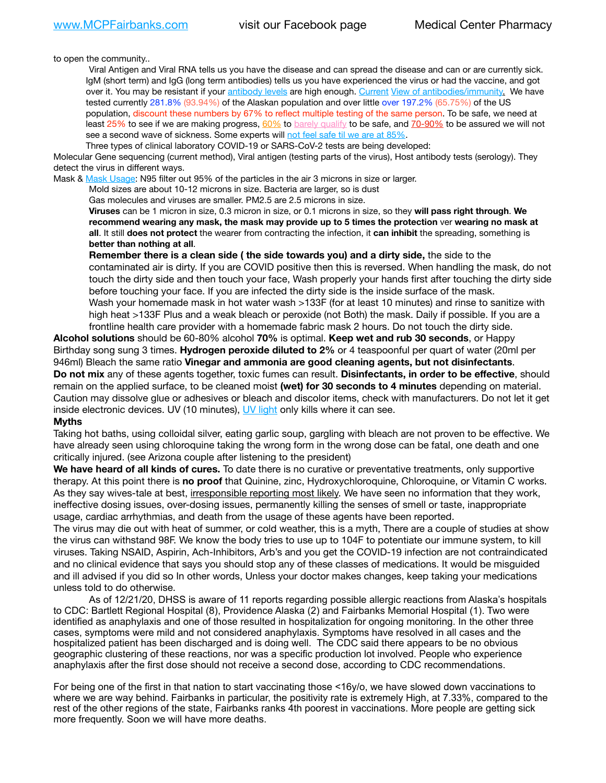to open the community..

Viral Antigen and Viral RNA tells us you have the disease and can spread the disease and can or are currently sick. IgM (short term) and IgG (long term antibodies) tells us you have experienced the virus or had the vaccine, and got over it. You may be resistant if your [antibody levels](https://www.cdc.gov/coronavirus/2019-ncov/lab/resources/antibody-tests.html) are high enough. [Current](https://l.facebook.com/l.php?u=https://www.itv.com/news/2020-10-26/covid-19-antibody-levels-reduce-over-time-study-finds?fbclid=IwAR3Dapzh1qIH1EIOdUQI2y8THf7jfA4KBCaJz8Qg-8xe1YsrR4nsAHDIXSY&h=AT30nut8pkqp0heVuz5W2rT2WFFm-2Ab52BsJxZZCNlGsX58IpPkuVEPULbIUV_M16MAukx1Kwb657DPXxsgDN1rpOQ4gqBtQsmVYiWpnHPJo2RQsU6CPMd14lgLnQnFWxfVi6zvmw&__tn__=-UK-R&c%5B0%5D=AT1GaRAfR_nGAyqcn7TI1-PpvqOqEKXHnz6TDWvRStMnOSH7boQDvTiwTOc6VId9UES6LKiOmm2m88wKCoolkJyOFvakt2Z1Mw8toYWGGoWW23r0MNVBl7cYJXB_UOvGklNHaNnaNr1_S7NhT3BSykNOBg) [View of antibodies/immunity](https://www.livescience.com/antibodies.html)[.](https://www.itv.com/news/2020-10-26/covid-19-antibody-levels-reduce-over-time-study-finds) We have tested currently 281.8% (93.94%) of the Alaskan population and over little over 197.2% (65.75%) of the US population, discount these numbers by 67% to reflect multiple testing of the same person. To be safe, we need at least 25% to see if we are making progress, [60%](https://www.jhsph.edu/covid-19/articles/achieving-herd-immunity-with-covid19.html) to [barely qualify](https://www.nature.com/articles/d41586-020-02948-4) to be safe, and [70-90%](https://www.mayoclinic.org/herd-immunity-and-coronavirus/art-20486808) to be assured we will not see a second wave of sickness. Some experts will [not feel safe til we are at 85%.](https://www.bannerhealth.com/healthcareblog/teach-me/what-is-herd-immunity)

Three types of clinical laboratory COVID-19 or SARS-CoV-2 tests are being developed:

Molecular Gene sequencing (current method), Viral antigen (testing parts of the virus), Host antibody tests (serology). They detect the virus in different ways.

Mask & [Mask Usage:](https://www.nationalgeographic.com/history/2020/03/how-cities-flattened-curve-1918-spanish-flu-pandemic-coronavirus/) N95 filter out 95% of the particles in the air 3 microns in size or larger.

Mold sizes are about 10-12 microns in size. Bacteria are larger, so is dust

Gas molecules and viruses are smaller. PM2.5 are 2.5 microns in size.

**Viruses** can be 1 micron in size, 0.3 micron in size, or 0.1 microns in size, so they **will pass right through**. **We recommend wearing any mask, the mask may provide up to 5 times the protection** ver **wearing no mask at all**. It still **does not protect** the wearer from contracting the infection, it **can inhibit** the spreading, something is **better than nothing at all**.

**Remember there is a clean side ( the side towards you) and a dirty side,** the side to the contaminated air is dirty. If you are COVID positive then this is reversed. When handling the mask, do not touch the dirty side and then touch your face, Wash properly your hands first after touching the dirty side before touching your face. If you are infected the dirty side is the inside surface of the mask. Wash your homemade mask in hot water wash >133F (for at least 10 minutes) and rinse to sanitize with high heat >133F Plus and a weak bleach or peroxide (not Both) the mask. Daily if possible. If you are a frontline health care provider with a homemade fabric mask 2 hours. Do not touch the dirty side.

**Alcohol solutions** should be 60-80% alcohol **70%** is optimal. **Keep wet and rub 30 seconds**, or Happy Birthday song sung 3 times. **Hydrogen peroxide diluted to 2%** or 4 teaspoonful per quart of water (20ml per 946ml) Bleach the same ratio **Vinegar and ammonia are good cleaning agents, but not disinfectants**. **Do not mix** any of these agents together, toxic fumes can result. **Disinfectants, in order to be effective**, should remain on the applied surface, to be cleaned moist **(wet) for 30 seconds to 4 minutes** depending on material. Caution may dissolve glue or adhesives or bleach and discolor items, check with manufacturers. Do not let it get inside electronic devices. UV (10 minutes), [UV light](http://www.docreviews.me/best-uv-boxes-2020/?fbclid=IwAR3bvFtXB48OoBBSvYvTEnKuHNPbipxM6jUo82QUSw9wckxjC7wwRZWabGw) only kills where it can see.

#### **Myths**

Taking hot baths, using colloidal silver, eating garlic soup, gargling with bleach are not proven to be effective. We have already seen using chloroquine taking the wrong form in the wrong dose can be fatal, one death and one critically injured. (see Arizona couple after listening to the president)

**We have heard of all kinds of cures.** To date there is no curative or preventative treatments, only supportive therapy. At this point there is **no proof** that Quinine, zinc, Hydroxychloroquine, Chloroquine, or Vitamin C works. As they say wives-tale at best, *irresponsible reporting most likely*. We have seen no information that they work, ineffective dosing issues, over-dosing issues, permanently killing the senses of smell or taste, inappropriate usage, cardiac arrhythmias, and death from the usage of these agents have been reported.

The virus may die out with heat of summer, or cold weather, this is a myth, There are a couple of studies at show the virus can withstand 98F. We know the body tries to use up to 104F to potentiate our immune system, to kill viruses. Taking NSAID, Aspirin, Ach-Inhibitors, Arb's and you get the COVID-19 infection are not contraindicated and no clinical evidence that says you should stop any of these classes of medications. It would be misguided and ill advised if you did so In other words, Unless your doctor makes changes, keep taking your medications unless told to do otherwise.

As of 12/21/20, DHSS is aware of 11 reports regarding possible allergic reactions from Alaska's hospitals to CDC: Bartlett Regional Hospital (8), Providence Alaska (2) and Fairbanks Memorial Hospital (1). Two were identified as anaphylaxis and one of those resulted in hospitalization for ongoing monitoring. In the other three cases, symptoms were mild and not considered anaphylaxis. Symptoms have resolved in all cases and the hospitalized patient has been discharged and is doing well. The CDC said there appears to be no obvious geographic clustering of these reactions, nor was a specific production lot involved. People who experience anaphylaxis after the first dose should not receive a second dose, according to CDC recommendations.

For being one of the first in that nation to start vaccinating those <16y/o, we have slowed down vaccinations to where we are way behind. Fairbanks in particular, the positivity rate is extremely High, at 7.33%, compared to the rest of the other regions of the state, Fairbanks ranks 4th poorest in vaccinations. More people are getting sick more frequently. Soon we will have more deaths.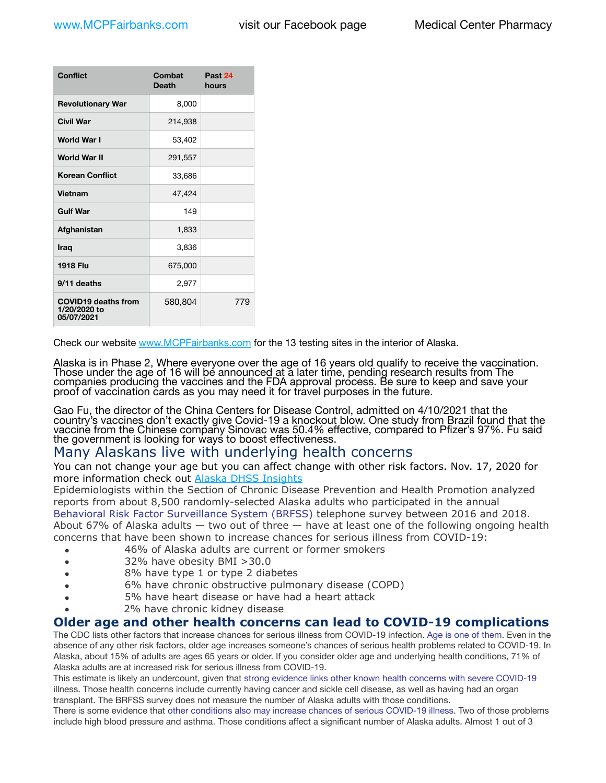| <b>Conflict</b>                                          | Combat<br><b>Death</b> | Past 24<br>hours |
|----------------------------------------------------------|------------------------|------------------|
| <b>Revolutionary War</b>                                 | 8,000                  |                  |
| Civil War                                                | 214,938                |                  |
| <b>World War I</b>                                       | 53,402                 |                  |
| <b>World War II</b>                                      | 291,557                |                  |
| <b>Korean Conflict</b>                                   | 33,686                 |                  |
| <b>Vietnam</b>                                           | 47,424                 |                  |
| <b>Gulf War</b>                                          | 149                    |                  |
| Afghanistan                                              | 1,833                  |                  |
| <b>Iraq</b>                                              | 3,836                  |                  |
| <b>1918 Flu</b>                                          | 675,000                |                  |
| 9/11 deaths                                              | 2,977                  |                  |
| <b>COVID19 deaths from</b><br>1/20/2020 to<br>05/07/2021 | 580,804                | 779              |

Check our website [www.MCPFairbanks.com](http://www.MCPFairbanks.com) for the 13 testing sites in the interior of Alaska.

Alaska is in Phase 2, Where everyone over the age of 16 years old qualify to receive the vaccination. Those under the age of 16 will be announced at a later time, pending research results from The companies producing the vaccines and the FDA approval process. Be sure to keep and save your proof of vaccination cards as you may need it for travel purposes in the future.

Gao Fu, the director of the China Centers for Disease Control, admitted on 4/10/2021 that the country's vaccines don't exactly give Covid-19 a knockout blow. One study from Brazil found that the vaccine from the Chinese company Sinovac was 50.4% effective, compared to Pfizer's 97%. Fu said the government is looking for ways to boost effectiveness.

# Many Alaskans live with underlying health concerns

You can not change your age but you can affect change with other risk factors. Nov. 17, 2020 for more information check out **[Alaska DHSS Insights](http://dhss.alaska.gov/dph/Epi/id/Pages/COVID-19/blog/20201117.aspx)** 

Epidemiologists within the Section of Chronic Disease Prevention and Health Promotion analyzed reports from about 8,500 randomly-selected Alaska adults who participated in the annual [Behavioral Risk Factor Surveillance System \(BRFSS\)](http://dhss.alaska.gov/dph/Chronic/Pages/brfss/default.aspx) telephone survey between 2016 and 2018. About 67% of Alaska adults — two out of three — have at least one of the following ongoing health concerns that have been shown to increase chances for serious illness from COVID-19:

- 46% of Alaska adults are current or former smokers
- 32% have obesity BMI >30.0
- 8% have type 1 or type 2 diabetes
- 6% have chronic obstructive pulmonary disease (COPD)
- 5% have heart disease or have had a heart attack
- 2% have chronic kidney disease

## **Older age and other health concerns can lead to COVID-19 complications**

The CDC lists other factors that increase chances for serious illness from COVID-19 infection. [Age is one of them](https://www.cdc.gov/coronavirus/2019-ncov/need-extra-precautions/older-adults.html). Even in the absence of any other risk factors, older age increases someone's chances of serious health problems related to COVID-19. In Alaska, about 15% of adults are ages 65 years or older. If you consider older age and underlying health conditions, 71% of Alaska adults are at increased risk for serious illness from COVID-19.

This estimate is likely an undercount, given that [strong evidence links other known health concerns with severe COVID-19](https://www.cdc.gov/coronavirus/2019-ncov/need-extra-precautions/people-with-medical-conditions.html) illness. Those health concerns include currently having cancer and sickle cell disease, as well as having had an organ transplant. The BRFSS survey does not measure the number of Alaska adults with those conditions.

There is some evidence that [other conditions also may increase chances of serious COVID-19 illness](https://www.cdc.gov/coronavirus/2019-ncov/need-extra-precautions/evidence-table.html). Two of those problems include high blood pressure and asthma. Those conditions affect a significant number of Alaska adults. Almost 1 out of 3